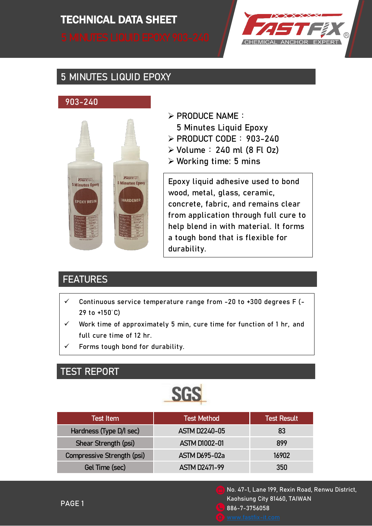# TECHNICAL DATA SHEET TECHNICAL DATA SHEET



## 5 MINUTES LIQUID EPOXY

#### 903-240



- $\triangleright$  PRODUCE NAME:
- 5 Minutes Liquid Epoxy
- $\triangleright$  PRODUCT CODE: 903-240
- $\triangleright$  Volume: 240 ml (8 Fl Oz)
- $\triangleright$  Working time: 5 mins

Epoxy liquid adhesive used to bond wood, metal, glass, ceramic, concrete, fabric, and remains clear from application through full cure to help blend in with material. It forms a tough bond that is flexible for durability.

#### **FEATURES**

- $\checkmark$  Continuous service temperature range from -20 to +300 degrees F (-29 to +150°C)
- $\checkmark$  Work time of approximately 5 min, cure time for function of 1 hr, and full cure time of 12 hr.
- Forms tough bond for durability.

#### TEST REPORT



| <b>Test Item</b>           | <b>Test Method</b>   | <b>Test Result</b> |
|----------------------------|----------------------|--------------------|
| Hardness (Type D/I sec)    | <b>ASTM D2240-05</b> | 83                 |
| Shear Strength (psi)       | <b>ASTM D1002-01</b> | 899                |
| Compressive Strength (psi) | <b>ASTM D695-02a</b> | 16902              |
| Gel Time (sec)             | <b>ASTM D2471-99</b> | 350                |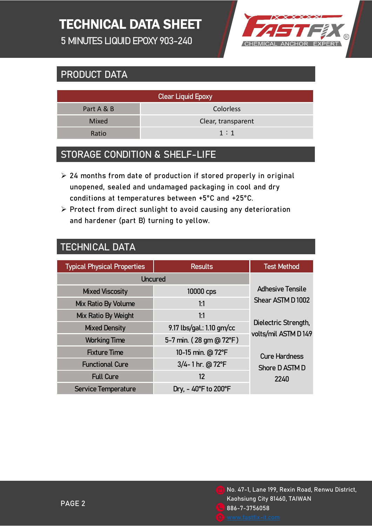# TECHNICAL DATA SHEET

5 MINUTES LIQUID EPOXY 903-240



## PRODUCT DATA

| <b>Clear Liquid Epoxy</b> |                    |  |  |  |
|---------------------------|--------------------|--|--|--|
| Part A & B                | Colorless          |  |  |  |
| Mixed                     | Clear, transparent |  |  |  |
| Ratio                     | 1:1                |  |  |  |
|                           |                    |  |  |  |

#### STORAGE CONDITION & SHELF-LIFE

- $\geq$  24 months from date of production if stored properly in original unopened, sealed and undamaged packaging in cool and dry conditions at temperatures between +5°C and +25°C.
- $\triangleright$  Protect from direct sunlight to avoid causing any deterioration and hardener (part B) turning to yellow.

#### TECHNICAL DATA

| <b>Typical Physical Properties</b> | <b>Results</b>                           | <b>Test Method</b>                     |
|------------------------------------|------------------------------------------|----------------------------------------|
| <b>Uncured</b>                     |                                          |                                        |
| <b>Mixed Viscosity</b>             | 10000 cps                                | <b>Adhesive Tensile</b>                |
| Mix Ratio By Volume                | 1:1                                      | Shear ASTM D1002                       |
| Mix Ratio By Weight                | 1:1                                      |                                        |
| <b>Mixed Density</b>               | 9.17 lbs/gal.: 1.10 gm/cc                | Dielectric Strength,                   |
| <b>Working Time</b>                | 5-7 min. (28 gm @ 72°F)                  | volts/mil ASTM D149                    |
| <b>Fixture Time</b>                | 10-15 min. @ 72°F                        | <b>Cure Hardness</b><br>Shore D ASTM D |
| <b>Functional Cure</b>             | 3/4-1 hr. @ 72°F                         |                                        |
| <b>Full Cure</b>                   | 12                                       | 2240                                   |
| <b>Service Temperature</b>         | Dry, $-40^{\circ}$ F to 200 $^{\circ}$ F |                                        |